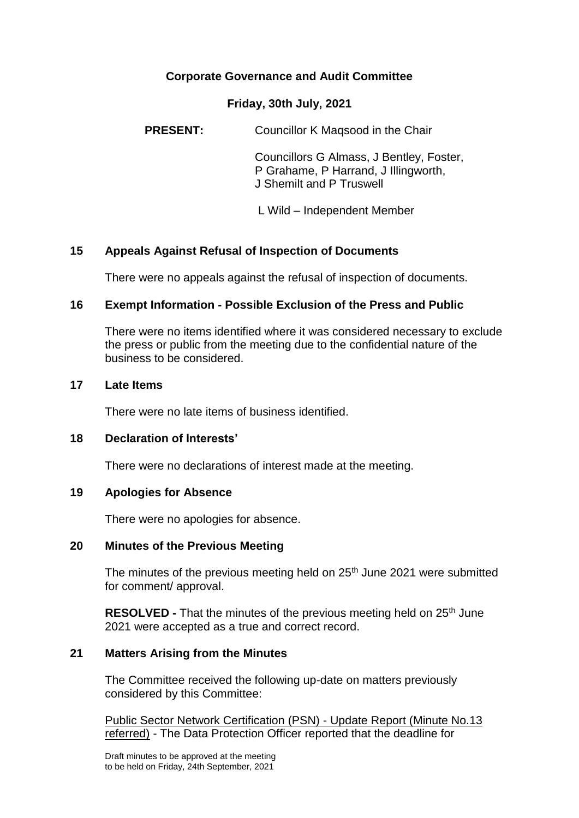# **Corporate Governance and Audit Committee**

#### **Friday, 30th July, 2021**

**PRESENT:** Councillor K Magsood in the Chair

Councillors G Almass, J Bentley, Foster, P Grahame, P Harrand, J Illingworth, J Shemilt and P Truswell

L Wild – Independent Member

## **15 Appeals Against Refusal of Inspection of Documents**

There were no appeals against the refusal of inspection of documents.

## **16 Exempt Information - Possible Exclusion of the Press and Public**

There were no items identified where it was considered necessary to exclude the press or public from the meeting due to the confidential nature of the business to be considered.

#### **17 Late Items**

There were no late items of business identified.

## **18 Declaration of Interests'**

There were no declarations of interest made at the meeting.

#### **19 Apologies for Absence**

There were no apologies for absence.

#### **20 Minutes of the Previous Meeting**

The minutes of the previous meeting held on  $25<sup>th</sup>$  June 2021 were submitted for comment/ approval.

**RESOLVED -** That the minutes of the previous meeting held on 25<sup>th</sup> June 2021 were accepted as a true and correct record.

## **21 Matters Arising from the Minutes**

The Committee received the following up-date on matters previously considered by this Committee:

Public Sector Network Certification (PSN) - Update Report (Minute No.13 referred) - The Data Protection Officer reported that the deadline for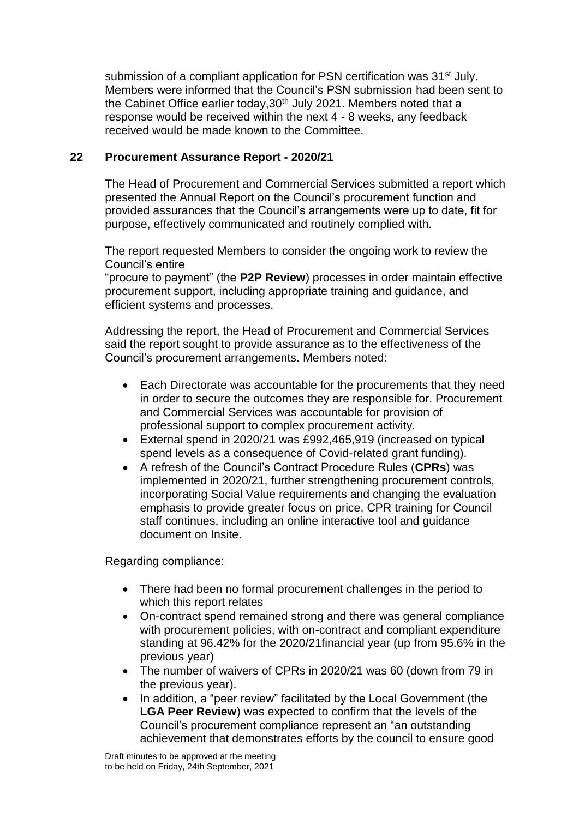submission of a compliant application for PSN certification was 31<sup>st</sup> July. Members were informed that the Council's PSN submission had been sent to the Cabinet Office earlier today, 30<sup>th</sup> July 2021. Members noted that a response would be received within the next 4 - 8 weeks, any feedback received would be made known to the Committee.

## **22 Procurement Assurance Report - 2020/21**

The Head of Procurement and Commercial Services submitted a report which presented the Annual Report on the Council's procurement function and provided assurances that the Council's arrangements were up to date, fit for purpose, effectively communicated and routinely complied with.

The report requested Members to consider the ongoing work to review the Council's entire

"procure to payment" (the **P2P Review**) processes in order maintain effective procurement support, including appropriate training and guidance, and efficient systems and processes.

Addressing the report, the Head of Procurement and Commercial Services said the report sought to provide assurance as to the effectiveness of the Council's procurement arrangements. Members noted:

- Each Directorate was accountable for the procurements that they need in order to secure the outcomes they are responsible for. Procurement and Commercial Services was accountable for provision of professional support to complex procurement activity.
- External spend in 2020/21 was £992,465,919 (increased on typical spend levels as a consequence of Covid-related grant funding).
- A refresh of the Council's Contract Procedure Rules (**CPRs**) was implemented in 2020/21, further strengthening procurement controls, incorporating Social Value requirements and changing the evaluation emphasis to provide greater focus on price. CPR training for Council staff continues, including an online interactive tool and guidance document on Insite.

Regarding compliance:

- There had been no formal procurement challenges in the period to which this report relates
- On-contract spend remained strong and there was general compliance with procurement policies, with on-contract and compliant expenditure standing at 96.42% for the 2020/21financial year (up from 95.6% in the previous year)
- The number of waivers of CPRs in 2020/21 was 60 (down from 79 in the previous year).
- In addition, a "peer review" facilitated by the Local Government (the **LGA Peer Review**) was expected to confirm that the levels of the Council's procurement compliance represent an "an outstanding achievement that demonstrates efforts by the council to ensure good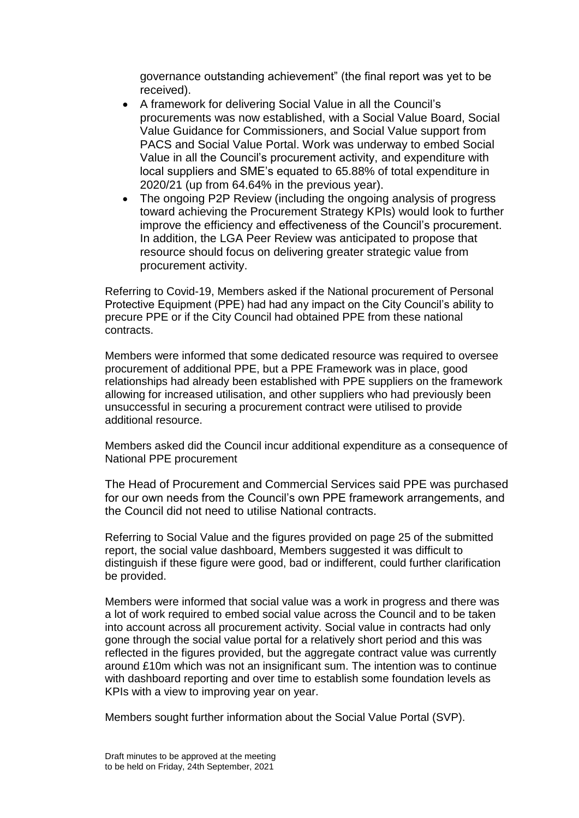governance outstanding achievement" (the final report was yet to be received).

- A framework for delivering Social Value in all the Council's procurements was now established, with a Social Value Board, Social Value Guidance for Commissioners, and Social Value support from PACS and Social Value Portal. Work was underway to embed Social Value in all the Council's procurement activity, and expenditure with local suppliers and SME's equated to 65.88% of total expenditure in 2020/21 (up from 64.64% in the previous year).
- The ongoing P2P Review (including the ongoing analysis of progress toward achieving the Procurement Strategy KPIs) would look to further improve the efficiency and effectiveness of the Council's procurement. In addition, the LGA Peer Review was anticipated to propose that resource should focus on delivering greater strategic value from procurement activity.

Referring to Covid-19, Members asked if the National procurement of Personal Protective Equipment (PPE) had had any impact on the City Council's ability to precure PPE or if the City Council had obtained PPE from these national contracts.

Members were informed that some dedicated resource was required to oversee procurement of additional PPE, but a PPE Framework was in place, good relationships had already been established with PPE suppliers on the framework allowing for increased utilisation, and other suppliers who had previously been unsuccessful in securing a procurement contract were utilised to provide additional resource.

Members asked did the Council incur additional expenditure as a consequence of National PPE procurement

The Head of Procurement and Commercial Services said PPE was purchased for our own needs from the Council's own PPE framework arrangements, and the Council did not need to utilise National contracts.

Referring to Social Value and the figures provided on page 25 of the submitted report, the social value dashboard. Members suggested it was difficult to distinguish if these figure were good, bad or indifferent, could further clarification be provided.

Members were informed that social value was a work in progress and there was a lot of work required to embed social value across the Council and to be taken into account across all procurement activity. Social value in contracts had only gone through the social value portal for a relatively short period and this was reflected in the figures provided, but the aggregate contract value was currently around £10m which was not an insignificant sum. The intention was to continue with dashboard reporting and over time to establish some foundation levels as KPIs with a view to improving year on year.

Members sought further information about the Social Value Portal (SVP).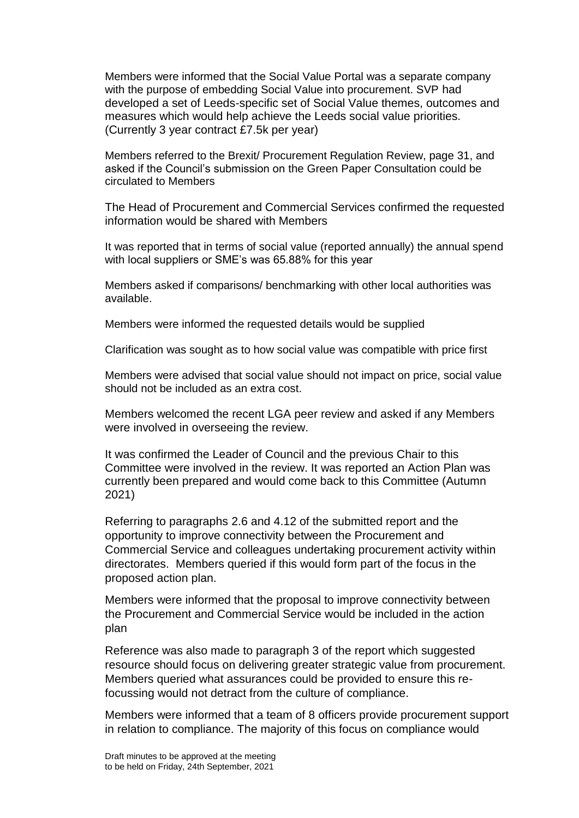Members were informed that the Social Value Portal was a separate company with the purpose of embedding Social Value into procurement. SVP had developed a set of Leeds-specific set of Social Value themes, outcomes and measures which would help achieve the Leeds social value priorities. (Currently 3 year contract £7.5k per year)

Members referred to the Brexit/ Procurement Regulation Review, page 31, and asked if the Council's submission on the Green Paper Consultation could be circulated to Members

The Head of Procurement and Commercial Services confirmed the requested information would be shared with Members

It was reported that in terms of social value (reported annually) the annual spend with local suppliers or SME's was 65.88% for this year

Members asked if comparisons/ benchmarking with other local authorities was available.

Members were informed the requested details would be supplied

Clarification was sought as to how social value was compatible with price first

Members were advised that social value should not impact on price, social value should not be included as an extra cost.

Members welcomed the recent LGA peer review and asked if any Members were involved in overseeing the review.

It was confirmed the Leader of Council and the previous Chair to this Committee were involved in the review. It was reported an Action Plan was currently been prepared and would come back to this Committee (Autumn 2021)

Referring to paragraphs 2.6 and 4.12 of the submitted report and the opportunity to improve connectivity between the Procurement and Commercial Service and colleagues undertaking procurement activity within directorates. Members queried if this would form part of the focus in the proposed action plan.

Members were informed that the proposal to improve connectivity between the Procurement and Commercial Service would be included in the action plan

Reference was also made to paragraph 3 of the report which suggested resource should focus on delivering greater strategic value from procurement. Members queried what assurances could be provided to ensure this refocussing would not detract from the culture of compliance.

Members were informed that a team of 8 officers provide procurement support in relation to compliance. The majority of this focus on compliance would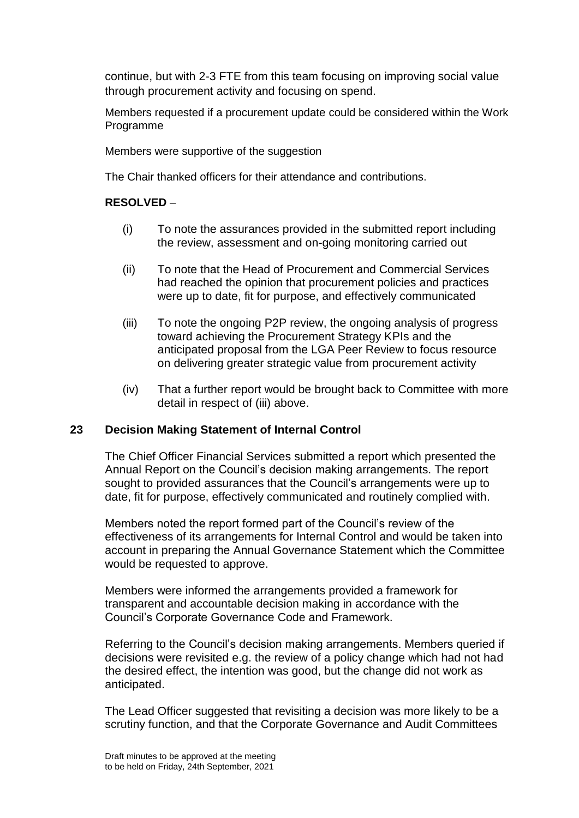continue, but with 2-3 FTE from this team focusing on improving social value through procurement activity and focusing on spend.

Members requested if a procurement update could be considered within the Work Programme

Members were supportive of the suggestion

The Chair thanked officers for their attendance and contributions.

## **RESOLVED** –

- (i) To note the assurances provided in the submitted report including the review, assessment and on-going monitoring carried out
- (ii) To note that the Head of Procurement and Commercial Services had reached the opinion that procurement policies and practices were up to date, fit for purpose, and effectively communicated
- (iii) To note the ongoing P2P review, the ongoing analysis of progress toward achieving the Procurement Strategy KPIs and the anticipated proposal from the LGA Peer Review to focus resource on delivering greater strategic value from procurement activity
- (iv) That a further report would be brought back to Committee with more detail in respect of (iii) above.

## **23 Decision Making Statement of Internal Control**

The Chief Officer Financial Services submitted a report which presented the Annual Report on the Council's decision making arrangements. The report sought to provided assurances that the Council's arrangements were up to date, fit for purpose, effectively communicated and routinely complied with.

Members noted the report formed part of the Council's review of the effectiveness of its arrangements for Internal Control and would be taken into account in preparing the Annual Governance Statement which the Committee would be requested to approve.

Members were informed the arrangements provided a framework for transparent and accountable decision making in accordance with the Council's Corporate Governance Code and Framework.

Referring to the Council's decision making arrangements. Members queried if decisions were revisited e.g. the review of a policy change which had not had the desired effect, the intention was good, but the change did not work as anticipated.

The Lead Officer suggested that revisiting a decision was more likely to be a scrutiny function, and that the Corporate Governance and Audit Committees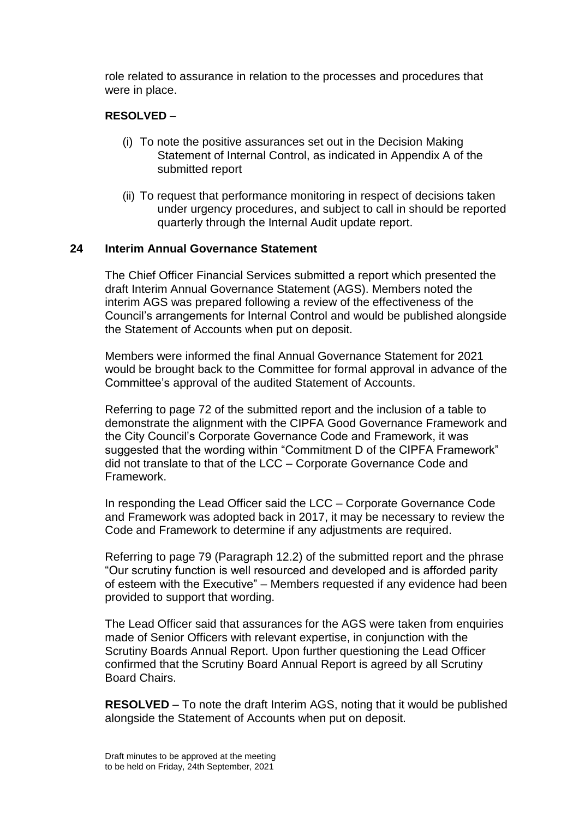role related to assurance in relation to the processes and procedures that were in place.

## **RESOLVED** –

- (i) To note the positive assurances set out in the Decision Making Statement of Internal Control, as indicated in Appendix A of the submitted report
- (ii) To request that performance monitoring in respect of decisions taken under urgency procedures, and subject to call in should be reported quarterly through the Internal Audit update report.

## **24 Interim Annual Governance Statement**

The Chief Officer Financial Services submitted a report which presented the draft Interim Annual Governance Statement (AGS). Members noted the interim AGS was prepared following a review of the effectiveness of the Council's arrangements for Internal Control and would be published alongside the Statement of Accounts when put on deposit.

Members were informed the final Annual Governance Statement for 2021 would be brought back to the Committee for formal approval in advance of the Committee's approval of the audited Statement of Accounts.

Referring to page 72 of the submitted report and the inclusion of a table to demonstrate the alignment with the CIPFA Good Governance Framework and the City Council's Corporate Governance Code and Framework, it was suggested that the wording within "Commitment D of the CIPFA Framework" did not translate to that of the LCC – Corporate Governance Code and Framework.

In responding the Lead Officer said the LCC – Corporate Governance Code and Framework was adopted back in 2017, it may be necessary to review the Code and Framework to determine if any adjustments are required.

Referring to page 79 (Paragraph 12.2) of the submitted report and the phrase "Our scrutiny function is well resourced and developed and is afforded parity of esteem with the Executive" – Members requested if any evidence had been provided to support that wording.

The Lead Officer said that assurances for the AGS were taken from enquiries made of Senior Officers with relevant expertise, in conjunction with the Scrutiny Boards Annual Report. Upon further questioning the Lead Officer confirmed that the Scrutiny Board Annual Report is agreed by all Scrutiny Board Chairs.

**RESOLVED** – To note the draft Interim AGS, noting that it would be published alongside the Statement of Accounts when put on deposit.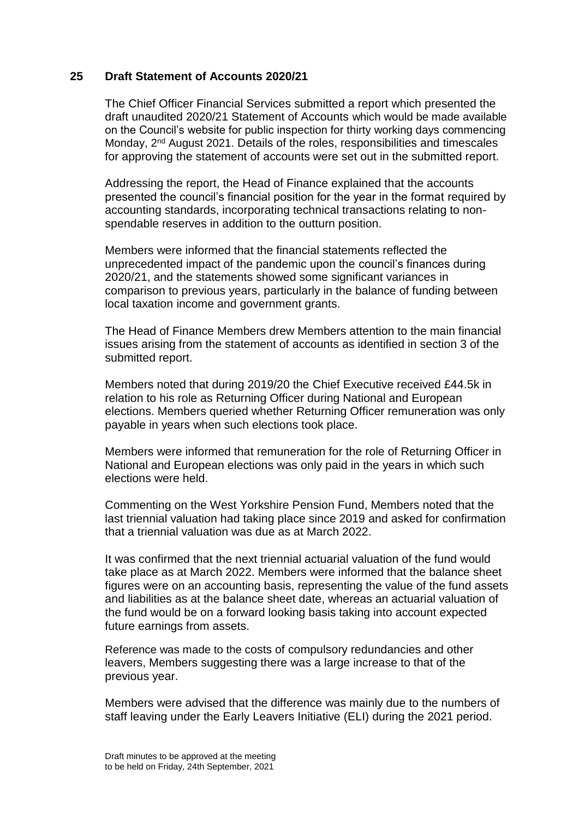## **25 Draft Statement of Accounts 2020/21**

The Chief Officer Financial Services submitted a report which presented the draft unaudited 2020/21 Statement of Accounts which would be made available on the Council's website for public inspection for thirty working days commencing Monday, 2nd August 2021. Details of the roles, responsibilities and timescales for approving the statement of accounts were set out in the submitted report.

Addressing the report, the Head of Finance explained that the accounts presented the council's financial position for the year in the format required by accounting standards, incorporating technical transactions relating to nonspendable reserves in addition to the outturn position.

Members were informed that the financial statements reflected the unprecedented impact of the pandemic upon the council's finances during 2020/21, and the statements showed some significant variances in comparison to previous years, particularly in the balance of funding between local taxation income and government grants.

The Head of Finance Members drew Members attention to the main financial issues arising from the statement of accounts as identified in section 3 of the submitted report.

Members noted that during 2019/20 the Chief Executive received £44.5k in relation to his role as Returning Officer during National and European elections. Members queried whether Returning Officer remuneration was only payable in years when such elections took place.

Members were informed that remuneration for the role of Returning Officer in National and European elections was only paid in the years in which such elections were held.

Commenting on the West Yorkshire Pension Fund, Members noted that the last triennial valuation had taking place since 2019 and asked for confirmation that a triennial valuation was due as at March 2022.

It was confirmed that the next triennial actuarial valuation of the fund would take place as at March 2022. Members were informed that the balance sheet figures were on an accounting basis, representing the value of the fund assets and liabilities as at the balance sheet date, whereas an actuarial valuation of the fund would be on a forward looking basis taking into account expected future earnings from assets.

Reference was made to the costs of compulsory redundancies and other leavers, Members suggesting there was a large increase to that of the previous year.

Members were advised that the difference was mainly due to the numbers of staff leaving under the Early Leavers Initiative (ELI) during the 2021 period.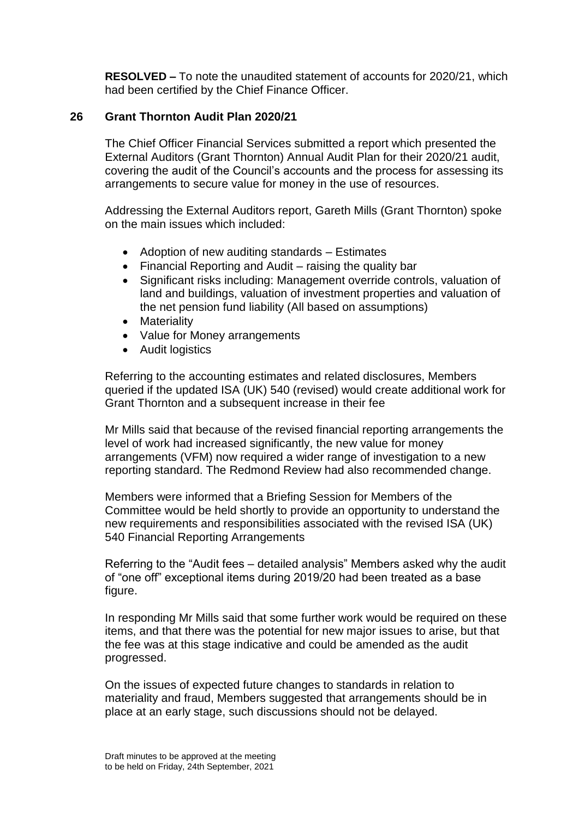**RESOLVED –** To note the unaudited statement of accounts for 2020/21, which had been certified by the Chief Finance Officer.

## **26 Grant Thornton Audit Plan 2020/21**

The Chief Officer Financial Services submitted a report which presented the External Auditors (Grant Thornton) Annual Audit Plan for their 2020/21 audit, covering the audit of the Council's accounts and the process for assessing its arrangements to secure value for money in the use of resources.

Addressing the External Auditors report, Gareth Mills (Grant Thornton) spoke on the main issues which included:

- Adoption of new auditing standards Estimates
- Financial Reporting and Audit raising the quality bar
- Significant risks including: Management override controls, valuation of land and buildings, valuation of investment properties and valuation of the net pension fund liability (All based on assumptions)
- Materiality
- Value for Money arrangements
- Audit logistics

Referring to the accounting estimates and related disclosures, Members queried if the updated ISA (UK) 540 (revised) would create additional work for Grant Thornton and a subsequent increase in their fee

Mr Mills said that because of the revised financial reporting arrangements the level of work had increased significantly, the new value for money arrangements (VFM) now required a wider range of investigation to a new reporting standard. The Redmond Review had also recommended change.

Members were informed that a Briefing Session for Members of the Committee would be held shortly to provide an opportunity to understand the new requirements and responsibilities associated with the revised ISA (UK) 540 Financial Reporting Arrangements

Referring to the "Audit fees – detailed analysis" Members asked why the audit of "one off" exceptional items during 2019/20 had been treated as a base figure.

In responding Mr Mills said that some further work would be required on these items, and that there was the potential for new major issues to arise, but that the fee was at this stage indicative and could be amended as the audit progressed.

On the issues of expected future changes to standards in relation to materiality and fraud, Members suggested that arrangements should be in place at an early stage, such discussions should not be delayed.